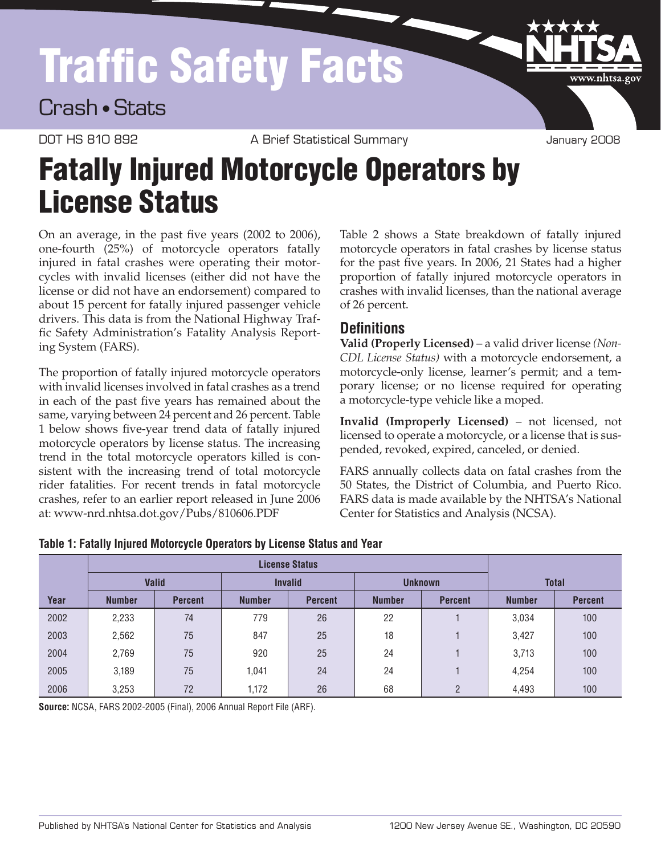## Traffic Safety Facts

Crash • Stats

DOT HS 810 892 A Brief Statistical Summary COOR January 2008

www.nhtsa.go

## Fatally Injured Motorcycle Operators by **License Status**

On an average, in the past five years (2002 to 2006), one-fourth (25%) of motorcycle operators fatally injured in fatal crashes were operating their motorcycles with invalid licenses (either did not have the license or did not have an endorsement) compared to about 15 percent for fatally injured passenger vehicle drivers. This data is from the National Highway Traffic Safety Administration's Fatality Analysis Reporting System (FARS).

The proportion of fatally injured motorcycle operators with invalid licenses involved in fatal crashes as a trend in each of the past five years has remained about the same, varying between 24 percent and 26 percent. Table 1 below shows five-year trend data of fatally injured motorcycle operators by license status. The increasing trend in the total motorcycle operators killed is consistent with the increasing trend of total motorcycle rider fatalities. For recent trends in fatal motorcycle crashes, refer to an earlier report released in June 2006 at: [www-nrd.nhtsa.dot.gov/Pubs/810606.PDF](www-nrd.nhtsa.dot.gov/Pubs/810606.pdf)

Table 2 shows a State breakdown of fatally injured motorcycle operators in fatal crashes by license status for the past five years. In 2006, 21 States had a higher proportion of fatally injured motorcycle operators in crashes with invalid licenses, than the national average of 26 percent.

## **Definitions**

**Valid (Properly Licensed)** – a valid driver license *(Non-CDL License Status)* with a motorcycle endorsement, a motorcycle-only license, learner's permit; and a temporary license; or no license required for operating a motorcycle-type vehicle like a moped.

**Invalid (Improperly Licensed)** – not licensed, not licensed to operate a motorcycle, or a license that is suspended, revoked, expired, canceled, or denied.

FARS annually collects data on fatal crashes from the 50 States, the District of Columbia, and Puerto Rico. FARS data is made available by the NHTSA's National Center for Statistics and Analysis (NCSA).

|      |               | <b>Valid</b>   |               | <b>Invalid</b> |               | <b>Unknown</b> | <b>Total</b>  |                |  |
|------|---------------|----------------|---------------|----------------|---------------|----------------|---------------|----------------|--|
| Year | <b>Number</b> | <b>Percent</b> | <b>Number</b> | <b>Percent</b> | <b>Number</b> | <b>Percent</b> | <b>Number</b> | <b>Percent</b> |  |
| 2002 | 2,233         | 74             | 779           | 26             | 22            |                | 3,034         | 100            |  |
| 2003 | 2,562         | 75             | 847           | 25             | 18            |                | 3,427         | 100            |  |
| 2004 | 2,769         | 75             | 920           | 25             | 24            |                | 3,713         | 100            |  |
| 2005 | 3,189         | 75             | 1.041         | 24             | 24            |                | 4,254         | 100            |  |
| 2006 | 3,253         | 72             | 1,172         | 26             | 68            | $\mathfrak{p}$ | 4,493         | 100            |  |

| Table 1: Fatally Injured Motorcycle Operators by License Status and Year |  |  |
|--------------------------------------------------------------------------|--|--|
|--------------------------------------------------------------------------|--|--|

**Source:** NCSA, FARS 2002-2005 (Final), 2006 Annual Report File (ARF).